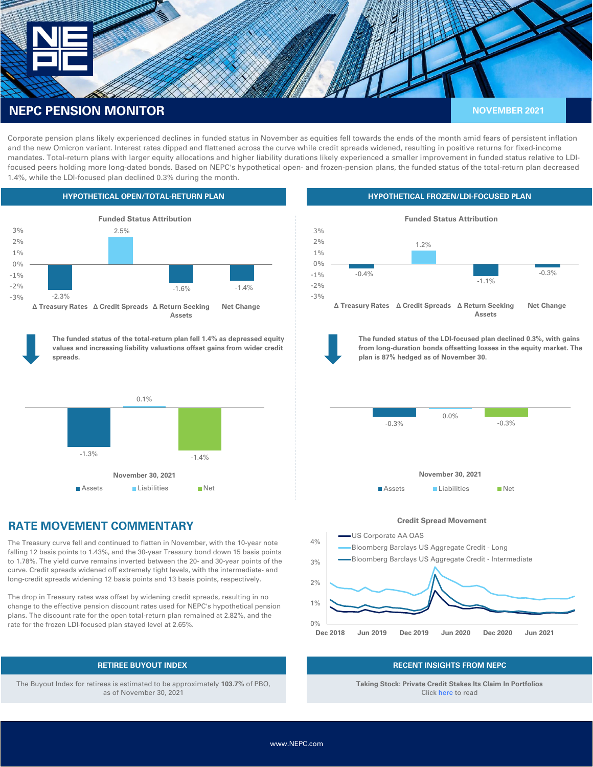

Corporate pension plans likely experienced declines in funded status in November as equities fell towards the ends of the month amid fears of persistent inflation and the new Omicron variant. Interest rates dipped and flattened across the curve while credit spreads widened, resulting in positive returns for fixed-income mandates. Total-return plans with larger equity allocations and higher liability durations likely experienced a smaller improvement in funded status relative to LDIfocused peers holding more long-dated bonds. Based on NEPC's hypothetical open- and frozen-pension plans, the funded status of the total-return plan decreased 1.4%, while the LDI-focused plan declined 0.3% during the month.



**The funded status of the total-return plan fell 1.4% as depressed equity values and increasing liability valuations offset gains from wider credit spreads.**



# **RATE MOVEMENT COMMENTARY**

The Treasury curve fell and continued to flatten in November, with the 10-year note falling 12 basis points to 1.43%, and the 30-year Treasury bond down 15 basis points to 1.78%. The yield curve remains inverted between the 20- and 30-year points of the curve. Credit spreads widened off extremely tight levels, with the intermediate- and long-credit spreads widening 12 basis points and 13 basis points, respectively.

The drop in Treasury rates was offset by widening credit spreads, resulting in no change to the effective pension discount rates used for NEPC's hypothetical pension plans. The discount rate for the open total-return plan remained at 2.82%, and the rate for the frozen LDI-focused plan stayed level at 2.65%.

The Buyout Index for retirees is estimated to be approximately **103.7%** of PBO, as of November 30, 2021





**Credit Spread Movement**



### **RETIREE BUYOUT INDEX AND RECENT INSIGHTS FROM NEPC**

**Taking Stock: Private Credit Stakes Its Claim In Portfolios** Click [here](https://nepc.com/institutional/taking-stock-private-credit-stakes-claim-in-portfolios/) to read